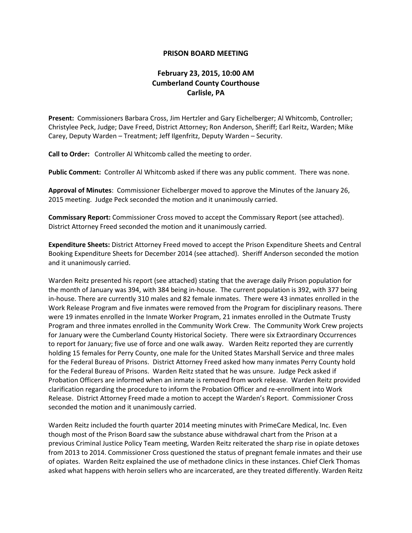## **PRISON BOARD MEETING**

## **February 23, 2015, 10:00 AM Cumberland County Courthouse Carlisle, PA**

**Present:** Commissioners Barbara Cross, Jim Hertzler and Gary Eichelberger; Al Whitcomb, Controller; Christylee Peck, Judge; Dave Freed, District Attorney; Ron Anderson, Sheriff; Earl Reitz, Warden; Mike Carey, Deputy Warden – Treatment; Jeff Ilgenfritz, Deputy Warden – Security.

**Call to Order:** Controller Al Whitcomb called the meeting to order.

**Public Comment:** Controller Al Whitcomb asked if there was any public comment. There was none.

**Approval of Minutes**: Commissioner Eichelberger moved to approve the Minutes of the January 26, 2015 meeting. Judge Peck seconded the motion and it unanimously carried.

**Commissary Report:** Commissioner Cross moved to accept the Commissary Report (see attached). District Attorney Freed seconded the motion and it unanimously carried.

**Expenditure Sheets:** District Attorney Freed moved to accept the Prison Expenditure Sheets and Central Booking Expenditure Sheets for December 2014 (see attached). Sheriff Anderson seconded the motion and it unanimously carried.

Warden Reitz presented his report (see attached) stating that the average daily Prison population for the month of January was 394, with 384 being in-house. The current population is 392, with 377 being in-house. There are currently 310 males and 82 female inmates. There were 43 inmates enrolled in the Work Release Program and five inmates were removed from the Program for disciplinary reasons. There were 19 inmates enrolled in the Inmate Worker Program, 21 inmates enrolled in the Outmate Trusty Program and three inmates enrolled in the Community Work Crew. The Community Work Crew projects for January were the Cumberland County Historical Society. There were six Extraordinary Occurrences to report for January; five use of force and one walk away. Warden Reitz reported they are currently holding 15 females for Perry County, one male for the United States Marshall Service and three males for the Federal Bureau of Prisons. District Attorney Freed asked how many inmates Perry County hold for the Federal Bureau of Prisons. Warden Reitz stated that he was unsure. Judge Peck asked if Probation Officers are informed when an inmate is removed from work release. Warden Reitz provided clarification regarding the procedure to inform the Probation Officer and re-enrollment into Work Release. District Attorney Freed made a motion to accept the Warden's Report. Commissioner Cross seconded the motion and it unanimously carried.

Warden Reitz included the fourth quarter 2014 meeting minutes with PrimeCare Medical, Inc. Even though most of the Prison Board saw the substance abuse withdrawal chart from the Prison at a previous Criminal Justice Policy Team meeting, Warden Reitz reiterated the sharp rise in opiate detoxes from 2013 to 2014. Commissioner Cross questioned the status of pregnant female inmates and their use of opiates. Warden Reitz explained the use of methadone clinics in these instances. Chief Clerk Thomas asked what happens with heroin sellers who are incarcerated, are they treated differently. Warden Reitz